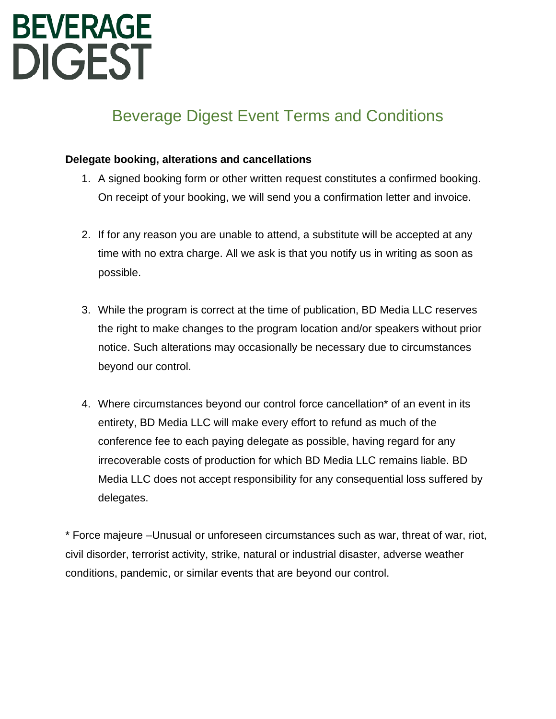# **BEVERAGE DIGEST**

# Beverage Digest Event Terms and Conditions

# **Delegate booking, alterations and cancellations**

- 1. A signed booking form or other written request constitutes a confirmed booking. On receipt of your booking, we will send you a confirmation letter and invoice.
- 2. If for any reason you are unable to attend, a substitute will be accepted at any time with no extra charge. All we ask is that you notify us in writing as soon as possible.
- 3. While the program is correct at the time of publication, BD Media LLC reserves the right to make changes to the program location and/or speakers without prior notice. Such alterations may occasionally be necessary due to circumstances beyond our control.
- 4. Where circumstances beyond our control force cancellation\* of an event in its entirety, BD Media LLC will make every effort to refund as much of the conference fee to each paying delegate as possible, having regard for any irrecoverable costs of production for which BD Media LLC remains liable. BD Media LLC does not accept responsibility for any consequential loss suffered by delegates.

\* Force majeure –Unusual or unforeseen circumstances such as war, threat of war, riot, civil disorder, terrorist activity, strike, natural or industrial disaster, adverse weather conditions, pandemic, or similar events that are beyond our control.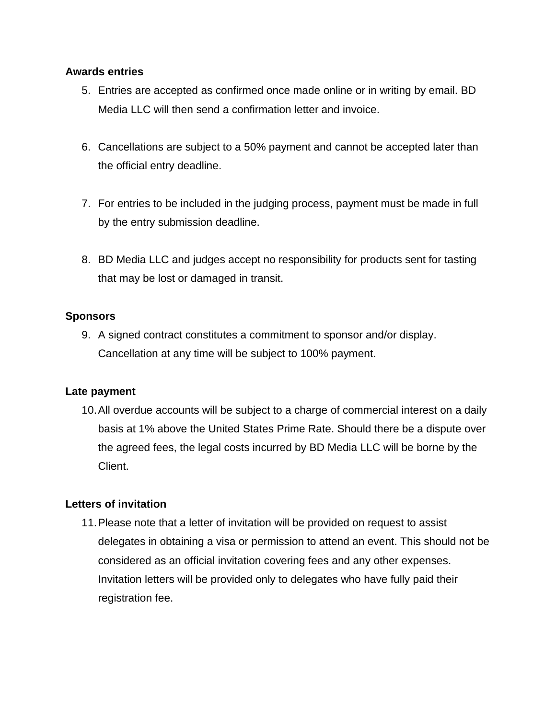# **Awards entries**

- 5. Entries are accepted as confirmed once made online or in writing by email. BD Media LLC will then send a confirmation letter and invoice.
- 6. Cancellations are subject to a 50% payment and cannot be accepted later than the official entry deadline.
- 7. For entries to be included in the judging process, payment must be made in full by the entry submission deadline.
- 8. BD Media LLC and judges accept no responsibility for products sent for tasting that may be lost or damaged in transit.

# **Sponsors**

9. A signed contract constitutes a commitment to sponsor and/or display. Cancellation at any time will be subject to 100% payment.

# **Late payment**

10.All overdue accounts will be subject to a charge of commercial interest on a daily basis at 1% above the United States Prime Rate. Should there be a dispute over the agreed fees, the legal costs incurred by BD Media LLC will be borne by the Client.

# **Letters of invitation**

11.Please note that a letter of invitation will be provided on request to assist delegates in obtaining a visa or permission to attend an event. This should not be considered as an official invitation covering fees and any other expenses. Invitation letters will be provided only to delegates who have fully paid their registration fee.